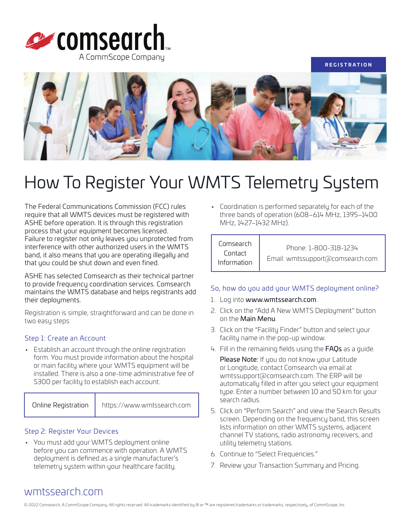



# How To Register Your WMTS Telemetry System

The Federal Communications Commission (FCC) rules require that all WMTS devices must be registered with ASHE before operation. It is through this registration process that your equipment becomes licensed. Failure to register not only leaves you unprotected from interference with other authorized users in the WMTS band, it also means that you are operating illegally and that you could be shut down and even fined.

ASHE has selected Comsearch as their technical partner to provide frequency coordination services. Comsearch maintains the WMTS database and helps registrants add their deployments.

Registration is simple, straightforward and can be done in two easy steps:

#### Step 1: Create an Account

• Establish an account through the online registration form. You must provide information about the hospital or main facility where your WMTS equipment will be installed. There is also a one-time administrative fee of \$300 per facility to establish each account.

Online Registration | <https://www.wmtssearch.com>

#### Step 2: Register Your Devices

• You must add your WMTS deployment online before you can commence with operation. A WMTS deployment is defined as a single manufacturer's telemetry system within your healthcare facility.

• Coordination is performed separately for each of the three bands of operation (608–614 MHz, 1395–1400 MHz, 1427–1432 MHz).

### Comsearch Contact Information

Phone: 1-800-318-1234 Email: wmtssupport@comsearch.com

#### So, how do you add your WMTS deployment online?

- 1. Log into [www.wmtssearch.com](https://www.wmtssearch.com).
- 2. Click on the "Add A New WMTS Deployment" button on the Main Menu.
- 3. Click on the "Facility Finder" button and select your facility name in the pop-up window.
- 4. Fill in the remaining fields using the [FAQs](https://www.wmtssearch.com/wmts/includes/helpPopup.jsp?topic=faqs&subTopic=blank) as a guide.

Please Note: If you do not know your Latitude or Longitude, contact Comsearch via email at wmtssupport@comsearch.com. The ERP will be automatically filled in after you select your equipment type. Enter a number between 10 and 50 km for your search radius.

- 5. Click on "Perform Search" and view the Search Results screen. Depending on the frequency band, this screen lists information on other WMTS systems, adjacent channel TV stations, radio astronomy receivers, and utility telemetry stations.
- 6. Continue to "Select Frequencies."
- 7. Review your Transaction Summary and Pricing.

## wmtssearch[.com](https://www.wmtssearch.com)

© 2022 Comsearch, A CommScope Company. All rights reserved. All trademarks identified by ® or ™ are registered trademarks or trademarks, respectively, of CommScope, Inc.